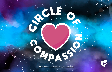*© 2019 Transformative Learning Alliance (TLA) Everyday Circles*

C O M PASSA

CLE OF

¢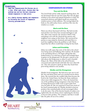## **Directions:**

- 1.**Read the** *Compassionate Kid Stories* **one at a time. After each story, discuss what the problem was and how the main character showed compassion to take action.**
- 2.**As a family discuss empathy and compassion by following the** *Circle of Compassion* **activity provided below.**



## **COMPASSIONATE KID STORIES**

#### **Trey and the Birds**

Trey loved birds and he really enjoyed watching them. He was devastated when he saw how many flew into the glass windows at his school and injured themselves or died. He researched solutions and helped install nets around the windows prone to bird collisions. The netting helped the birds see the solid surface better, and fewer flew into the windows as a result.

#### **Maria and the Bees**

Maria was always fascinated with bees. She had recently noticed there were fewer bees around and began to ask why. After some research, she started to think it had something to do with the chemicals her parents and neighbors were using on their lawns. She convinced her parents to stop using the chemicals and made flyers to teach her neighbors about the problem as well. Maria hoped that her efforts would help to bring the bees back.

#### **Julian and Friendship**

Julian was really upset that some of the kids at his school were being mean and bullying other students. He decided to do something about it. He began asking kids who looked lonely to sit with him at lunch and included them in games on the playground. He also gave a speech to his class about why being mean to others is such a harmful thing to do. Many of the kids at his school became concerned and made friends with kids who were often left out. They also started to speak up when they heard their peers being unkind to one another.

## **Himiko and the Orangutans**

Himiko loved orangutans. She had never seen one in real life, but read about them and even watched movies about them. She worried that she couldn't help them because she lived in the United States, far from the Asian rainforests where most wild orangutans live. Then, she learned that one of the problems facing orangutans is that their forests are being destroyed to make room to grow palm fruit trees for palm oil. She was surprised to learn how much of her food contained palm oil. Himiko decided to boycott products that contained palm oil and encouraged others to do the same. One of her favorite brands of cookies even replied after she sent them a letter explaining her decision to boycott their product. The company said that it would take the palm oil out of its cookies.



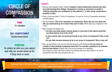# CIRCLE OF : **COMPASSION**

TIME 15 minutes

SEL COMPETENCY Social Awareness

PURPOSE

To reflect on who we care about, and who we would stand up for if they were in need

### ACTIVITY:

- Discuss what empathy means. Explain: Empathy is about feeling what someone else feels and understanding their feelings. Compassion is *having an awareness of another's suffering (empathy) and a willingness to help address it.* In other words, compassion is empathy in action.
- Draw a circle and label it "Circle of Compassion" (or use the *Circle of Compassion* worksheet provided below.)
- Say the following: This circle represents our compassion. Share who you care about and who you would stand up for or help if they were in need. (Write down your responses in the circle.)
- After everyone has shared, ask:
	- Are there any other people, animals, plants, or even parts of the natural world that you think deserve to be in the circle?
	- Is there anyone who you would not include in your Circle of Compassion? Why or why not?
	- Do you think everyone deserves to be in our circles of compassion? Why or why not?
- Now, go around the circle one at a time and respond to the following: Can you share an example of what showing compassion looks like? For example, speaking up for someone who has been bullied. (Explain that it can be any example of compassion, and if anyone is stuck, ask them to think of something they have done before or an act of compassion they have seen someone else do.)

Reflection: Was it difficult to think of examples of compassion? Why is it important to discuss what compassion looks like? Which agreement includes compassion?